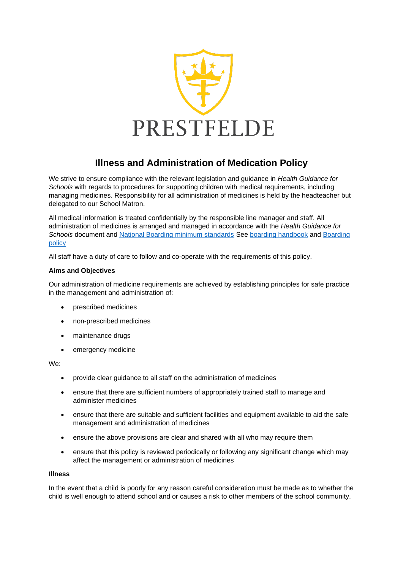

# **Illness and Administration of Medication Policy**

We strive to ensure compliance with the relevant legislation and guidance in *Health Guidance for Schools* with regards to procedures for supporting children with medical requirements, including managing medicines. Responsibility for all administration of medicines is held by the headteacher but delegated to our School Matron.

All medical information is treated confidentially by the responsible line manager and staff. All administration of medicines is arranged and managed in accordance with the *Health Guidance for Schools* document and [National Boarding minimum standards](https://assets.publishing.service.gov.uk/government/uploads/system/uploads/attachment_data/file/416186/20150319_nms_bs_standards.pdf) See [boarding handbook](https://prestfeldeschool.sharepoint.com/:w:/r/sites/Team-policiesandforms/_layouts/15/Doc.aspx?sourcedoc=%7B9442CEE1-BC06-4B99-B956-22F8975FD357%7D&file=Boarding%20Handbook%202021-22%20(B2abc).docx&action=default&mobileredirect=true) and [Boarding](https://prestfeldeschool.sharepoint.com/:w:/r/sites/Team-policiesandforms/_layouts/15/Doc.aspx?sourcedoc=%7B0D70150A-7D58-4CEA-9BDE-D908E46E1082%7D&file=BOARDING%20POLICY%202021-22%20(8a).docx&action=default&mobileredirect=true)  [policy](https://prestfeldeschool.sharepoint.com/:w:/r/sites/Team-policiesandforms/_layouts/15/Doc.aspx?sourcedoc=%7B0D70150A-7D58-4CEA-9BDE-D908E46E1082%7D&file=BOARDING%20POLICY%202021-22%20(8a).docx&action=default&mobileredirect=true) 

All staff have a duty of care to follow and co-operate with the requirements of this policy.

## **Aims and Objectives**

Our administration of medicine requirements are achieved by establishing principles for safe practice in the management and administration of:

- prescribed medicines
- non-prescribed medicines
- maintenance drugs
- emergency medicine

We:

- provide clear guidance to all staff on the administration of medicines
- ensure that there are sufficient numbers of appropriately trained staff to manage and administer medicines
- ensure that there are suitable and sufficient facilities and equipment available to aid the safe management and administration of medicines
- ensure the above provisions are clear and shared with all who may require them
- ensure that this policy is reviewed periodically or following any significant change which may affect the management or administration of medicines

#### **Illness**

In the event that a child is poorly for any reason careful consideration must be made as to whether the child is well enough to attend school and or causes a risk to other members of the school community.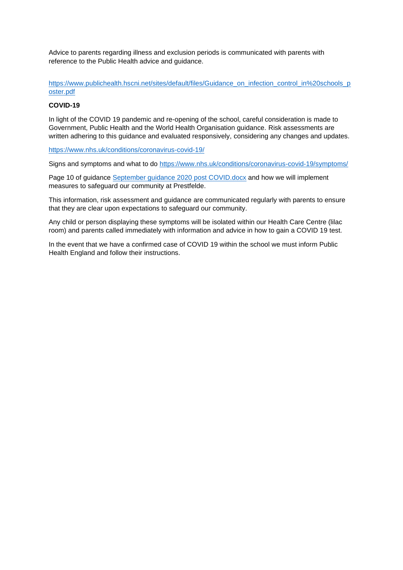Advice to parents regarding illness and exclusion periods is communicated with parents with reference to the Public Health advice and guidance.

[https://www.publichealth.hscni.net/sites/default/files/Guidance\\_on\\_infection\\_control\\_in%20schools\\_p](https://www.publichealth.hscni.net/sites/default/files/Guidance_on_infection_control_in%20schools_poster.pdf) [oster.pdf](https://www.publichealth.hscni.net/sites/default/files/Guidance_on_infection_control_in%20schools_poster.pdf)

## **COVID-19**

In light of the COVID 19 pandemic and re-opening of the school, careful consideration is made to Government, Public Health and the World Health Organisation guidance. Risk assessments are written adhering to this guidance and evaluated responsively, considering any changes and updates.

<https://www.nhs.uk/conditions/coronavirus-covid-19/>

Signs and symptoms and what to do<https://www.nhs.uk/conditions/coronavirus-covid-19/symptoms/>

Page 10 of guidance [September guidance 2020 post COVID.docx](https://prestfeldeschool.sharepoint.com/:w:/s/Team-healthandsafety/EcOF_J7tTxVApWGWm-hpg7gB-yUCVAJXWHyGyWzfROWxWg?e=ijDZt8) and how we will implement measures to safeguard our community at Prestfelde.

This information, risk assessment and guidance are communicated regularly with parents to ensure that they are clear upon expectations to safeguard our community.

Any child or person displaying these symptoms will be isolated within our Health Care Centre (lilac room) and parents called immediately with information and advice in how to gain a COVID 19 test.

In the event that we have a confirmed case of COVID 19 within the school we must inform Public Health England and follow their instructions.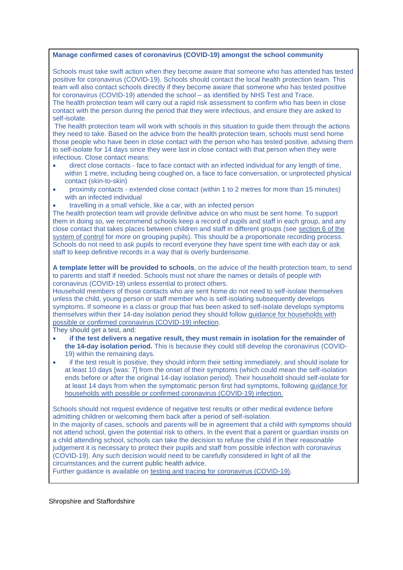#### **Manage confirmed cases of coronavirus (COVID-19) amongst the school community**

Schools must take swift action when they become aware that someone who has attended has tested positive for coronavirus (COVID-19). Schools should contact the local health protection team. This team will also contact schools directly if they become aware that someone who has tested positive for coronavirus (COVID-19) attended the school – as identified by NHS Test and Trace.

The health protection team will carry out a rapid risk assessment to confirm who has been in close contact with the person during the period that they were infectious, and ensure they are asked to self-isolate.

The health protection team will work with schools in this situation to guide them through the actions they need to take. Based on the advice from the health protection team, schools must send home those people who have been in close contact with the person who has tested positive, advising them to self-isolate for 14 days since they were last in close contact with that person when they were infectious. Close contact means:

- direct close contacts face to face contact with an infected individual for any length of time, within 1 metre, including being coughed on, a face to face conversation, or unprotected physical contact (skin-to-skin)
- proximity contacts extended close contact (within 1 to 2 metres for more than 15 minutes) with an infected individual
- travelling in a small vehicle, like a car, with an infected person

The health protection team will provide definitive advice on who must be sent home. To support them in doing so, we recommend schools keep a record of pupils and staff in each group, and any close contact that takes places between children and staff in different groups (see [section 6 of the](https://www.gov.uk/government/publications/actions-for-schools-during-the-coronavirus-outbreak/guidance-for-full-opening-schools#five)  [system of control](https://www.gov.uk/government/publications/actions-for-schools-during-the-coronavirus-outbreak/guidance-for-full-opening-schools#five) for more on grouping pupils). This should be a proportionate recording process. Schools do not need to ask pupils to record everyone they have spent time with each day or ask staff to keep definitive records in a way that is overly burdensome.

**A template letter will be provided to schools**, on the advice of the health protection team, to send to parents and staff if needed. Schools must not share the names or details of people with coronavirus (COVID-19) unless essential to protect others.

Household members of those contacts who are sent home do not need to self-isolate themselves unless the child, young person or staff member who is self-isolating subsequently develops symptoms. If someone in a class or group that has been asked to self-isolate develops symptoms themselves within their 14-day isolation period they should follow [guidance for households with](https://www.gov.uk/government/publications/covid-19-stay-at-home-guidance)  [possible or confirmed coronavirus \(COVID-19\)](https://www.gov.uk/government/publications/covid-19-stay-at-home-guidance) infection.

They should get a test, and:

- **if the test delivers a negative result, they must remain in isolation for the remainder of the 14-day isolation period.** This is because they could still develop the coronavirus (COVID-19) within the remaining days.
- if the test result is positive, they should inform their setting immediately, and should isolate for at least 10 days [was: 7] from the onset of their symptoms (which could mean the self-isolation ends before or after the original 14-day isolation period). Their household should self-isolate for at least 14 days from when the symptomatic person first had symptoms, following [guidance for](https://www.gov.uk/government/publications/covid-19-stay-at-home-guidance)  [households with possible or confirmed coronavirus \(COVID-19\) infection.](https://www.gov.uk/government/publications/covid-19-stay-at-home-guidance)

Schools should not request evidence of negative test results or other medical evidence before admitting children or welcoming them back after a period of self-isolation. In the majority of cases, schools and parents will be in agreement that a child with symptoms should

not attend school, given the potential risk to others. In the event that a parent or guardian insists on a child attending school, schools can take the decision to refuse the child if in their reasonable judgement it is necessary to protect their pupils and staff from possible infection with coronavirus (COVID-19). Any such decision would need to be carefully considered in light of all the circumstances and the current public health advice.

Further guidance is available on [testing and tracing for coronavirus \(COVID-19\).](https://www.nhs.uk/conditions/coronavirus-covid-19/testing-and-tracing/)

Shropshire and Staffordshire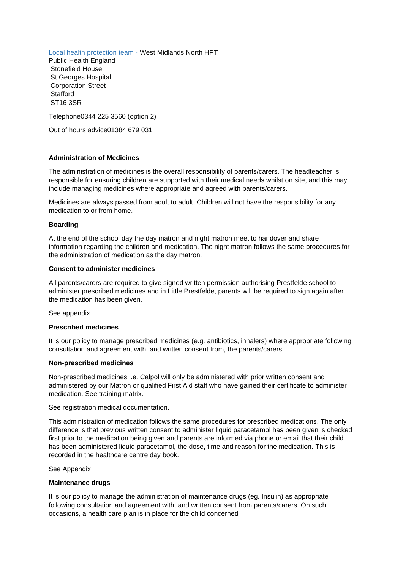Local health protection team - West Midlands North HPT

Public Health England Stonefield House St Georges Hospital Corporation Street **Stafford** ST16 3SR

Telephone0344 225 3560 (option 2)

Out of hours advice01384 679 031

#### **Administration of Medicines**

The administration of medicines is the overall responsibility of parents/carers. The headteacher is responsible for ensuring children are supported with their medical needs whilst on site, and this may include managing medicines where appropriate and agreed with parents/carers.

Medicines are always passed from adult to adult. Children will not have the responsibility for any medication to or from home.

#### **Boarding**

At the end of the school day the day matron and night matron meet to handover and share information regarding the children and medication. The night matron follows the same procedures for the administration of medication as the day matron.

#### **Consent to administer medicines**

All parents/carers are required to give signed written permission authorising Prestfelde school to administer prescribed medicines and in Little Prestfelde, parents will be required to sign again after the medication has been given.

See appendix

#### **Prescribed medicines**

It is our policy to manage prescribed medicines (e.g. antibiotics, inhalers) where appropriate following consultation and agreement with, and written consent from, the parents/carers.

#### **Non-prescribed medicines**

Non-prescribed medicines i.e. Calpol will only be administered with prior written consent and administered by our Matron or qualified First Aid staff who have gained their certificate to administer medication. See training matrix.

See registration medical documentation.

This administration of medication follows the same procedures for prescribed medications. The only difference is that previous written consent to administer liquid paracetamol has been given is checked first prior to the medication being given and parents are informed via phone or email that their child has been administered liquid paracetamol, the dose, time and reason for the medication. This is recorded in the healthcare centre day book.

See Appendix

#### **Maintenance drugs**

It is our policy to manage the administration of maintenance drugs (eg. Insulin) as appropriate following consultation and agreement with, and written consent from parents/carers. On such occasions, a health care plan is in place for the child concerned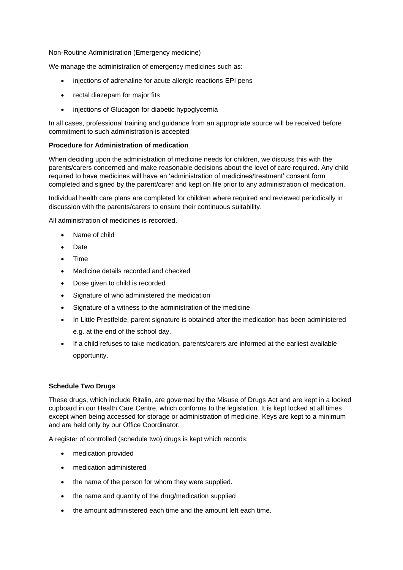Non-Routine Administration (Emergency medicine)

We manage the administration of emergency medicines such as:

- injections of adrenaline for acute allergic reactions EPI pens
- rectal diazepam for major fits
- injections of Glucagon for diabetic hypoglycemia

In all cases, professional training and guidance from an appropriate source will be received before commitment to such administration is accepted

## **Procedure for Administration of medication**

When deciding upon the administration of medicine needs for children, we discuss this with the parents/carers concerned and make reasonable decisions about the level of care required. Any child required to have medicines will have an 'administration of medicines/treatment' consent form completed and signed by the parent/carer and kept on file prior to any administration of medication.

Individual health care plans are completed for children where required and reviewed periodically in discussion with the parents/carers to ensure their continuous suitability.

All administration of medicines is recorded.

- Name of child
- Date
- Time
- Medicine details recorded and checked
- Dose given to child is recorded
- Signature of who administered the medication
- Signature of a witness to the administration of the medicine
- In Little Prestfelde, parent signature is obtained after the medication has been administered e.g. at the end of the school day.
- If a child refuses to take medication, parents/carers are informed at the earliest available opportunity.

## **Schedule Two Drugs**

These drugs, which include Ritalin, are governed by the Misuse of Drugs Act and are kept in a locked cupboard in our Health Care Centre, which conforms to the legislation. It is kept locked at all times except when being accessed for storage or administration of medicine. Keys are kept to a minimum and are held only by our Office Coordinator.

A register of controlled (schedule two) drugs is kept which records:

- medication provided
- medication administered
- the name of the person for whom they were supplied.
- the name and quantity of the drug/medication supplied
- the amount administered each time and the amount left each time.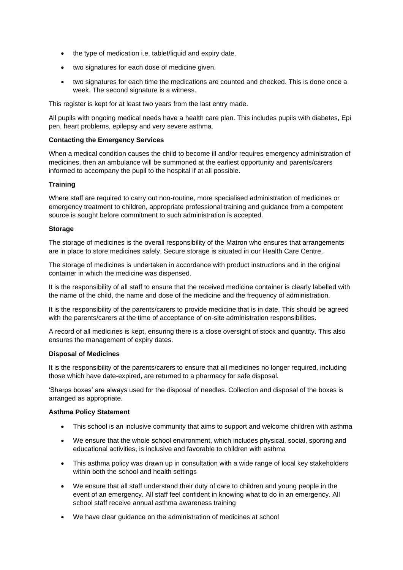- the type of medication i.e. tablet/liquid and expiry date.
- two signatures for each dose of medicine given.
- two signatures for each time the medications are counted and checked. This is done once a week. The second signature is a witness.

This register is kept for at least two years from the last entry made.

All pupils with ongoing medical needs have a health care plan. This includes pupils with diabetes, Epi pen, heart problems, epilepsy and very severe asthma.

# **Contacting the Emergency Services**

When a medical condition causes the child to become ill and/or requires emergency administration of medicines, then an ambulance will be summoned at the earliest opportunity and parents/carers informed to accompany the pupil to the hospital if at all possible.

# **Training**

Where staff are required to carry out non-routine, more specialised administration of medicines or emergency treatment to children, appropriate professional training and guidance from a competent source is sought before commitment to such administration is accepted.

## **Storage**

The storage of medicines is the overall responsibility of the Matron who ensures that arrangements are in place to store medicines safely. Secure storage is situated in our Health Care Centre.

The storage of medicines is undertaken in accordance with product instructions and in the original container in which the medicine was dispensed.

It is the responsibility of all staff to ensure that the received medicine container is clearly labelled with the name of the child, the name and dose of the medicine and the frequency of administration.

It is the responsibility of the parents/carers to provide medicine that is in date. This should be agreed with the parents/carers at the time of acceptance of on-site administration responsibilities.

A record of all medicines is kept, ensuring there is a close oversight of stock and quantity. This also ensures the management of expiry dates.

## **Disposal of Medicines**

It is the responsibility of the parents/carers to ensure that all medicines no longer required, including those which have date-expired, are returned to a pharmacy for safe disposal.

'Sharps boxes' are always used for the disposal of needles. Collection and disposal of the boxes is arranged as appropriate.

## **Asthma Policy Statement**

- This school is an inclusive community that aims to support and welcome children with asthma
- We ensure that the whole school environment, which includes physical, social, sporting and educational activities, is inclusive and favorable to children with asthma
- This asthma policy was drawn up in consultation with a wide range of local key stakeholders within both the school and health settings
- We ensure that all staff understand their duty of care to children and young people in the event of an emergency. All staff feel confident in knowing what to do in an emergency. All school staff receive annual asthma awareness training
- We have clear quidance on the administration of medicines at school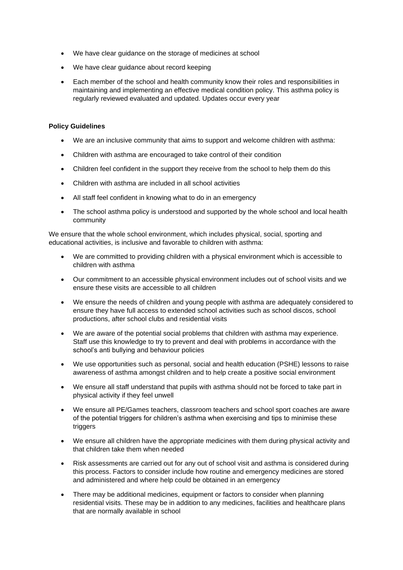- We have clear guidance on the storage of medicines at school
- We have clear guidance about record keeping
- Each member of the school and health community know their roles and responsibilities in maintaining and implementing an effective medical condition policy. This asthma policy is regularly reviewed evaluated and updated. Updates occur every year

## **Policy Guidelines**

- We are an inclusive community that aims to support and welcome children with asthma:
- Children with asthma are encouraged to take control of their condition
- Children feel confident in the support they receive from the school to help them do this
- Children with asthma are included in all school activities
- All staff feel confident in knowing what to do in an emergency
- The school asthma policy is understood and supported by the whole school and local health community

We ensure that the whole school environment, which includes physical, social, sporting and educational activities, is inclusive and favorable to children with asthma:

- We are committed to providing children with a physical environment which is accessible to children with asthma
- Our commitment to an accessible physical environment includes out of school visits and we ensure these visits are accessible to all children
- We ensure the needs of children and young people with asthma are adequately considered to ensure they have full access to extended school activities such as school discos, school productions, after school clubs and residential visits
- We are aware of the potential social problems that children with asthma may experience. Staff use this knowledge to try to prevent and deal with problems in accordance with the school's anti bullying and behaviour policies
- We use opportunities such as personal, social and health education (PSHE) lessons to raise awareness of asthma amongst children and to help create a positive social environment
- We ensure all staff understand that pupils with asthma should not be forced to take part in physical activity if they feel unwell
- We ensure all PE/Games teachers, classroom teachers and school sport coaches are aware of the potential triggers for children's asthma when exercising and tips to minimise these triggers
- We ensure all children have the appropriate medicines with them during physical activity and that children take them when needed
- Risk assessments are carried out for any out of school visit and asthma is considered during this process. Factors to consider include how routine and emergency medicines are stored and administered and where help could be obtained in an emergency
- There may be additional medicines, equipment or factors to consider when planning residential visits. These may be in addition to any medicines, facilities and healthcare plans that are normally available in school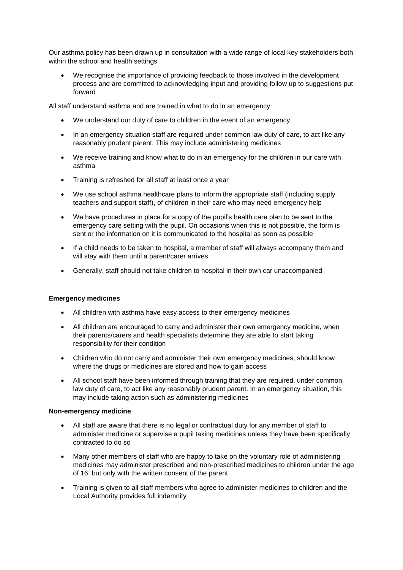Our asthma policy has been drawn up in consultation with a wide range of local key stakeholders both within the school and health settings

We recognise the importance of providing feedback to those involved in the development process and are committed to acknowledging input and providing follow up to suggestions put forward

All staff understand asthma and are trained in what to do in an emergency:

- We understand our duty of care to children in the event of an emergency
- In an emergency situation staff are required under common law duty of care, to act like any reasonably prudent parent. This may include administering medicines
- We receive training and know what to do in an emergency for the children in our care with asthma
- Training is refreshed for all staff at least once a year
- We use school asthma healthcare plans to inform the appropriate staff (including supply teachers and support staff), of children in their care who may need emergency help
- We have procedures in place for a copy of the pupil's health care plan to be sent to the emergency care setting with the pupil. On occasions when this is not possible, the form is sent or the information on it is communicated to the hospital as soon as possible
- If a child needs to be taken to hospital, a member of staff will always accompany them and will stay with them until a parent/carer arrives.
- Generally, staff should not take children to hospital in their own car unaccompanied

#### **Emergency medicines**

- All children with asthma have easy access to their emergency medicines
- All children are encouraged to carry and administer their own emergency medicine, when their parents/carers and health specialists determine they are able to start taking responsibility for their condition
- Children who do not carry and administer their own emergency medicines, should know where the drugs or medicines are stored and how to gain access
- All school staff have been informed through training that they are required, under common law duty of care, to act like any reasonably prudent parent. In an emergency situation, this may include taking action such as administering medicines

#### **Non-emergency medicine**

- All staff are aware that there is no legal or contractual duty for any member of staff to administer medicine or supervise a pupil taking medicines unless they have been specifically contracted to do so
- Many other members of staff who are happy to take on the voluntary role of administering medicines may administer prescribed and non-prescribed medicines to children under the age of 16, but only with the written consent of the parent
- Training is given to all staff members who agree to administer medicines to children and the Local Authority provides full indemnity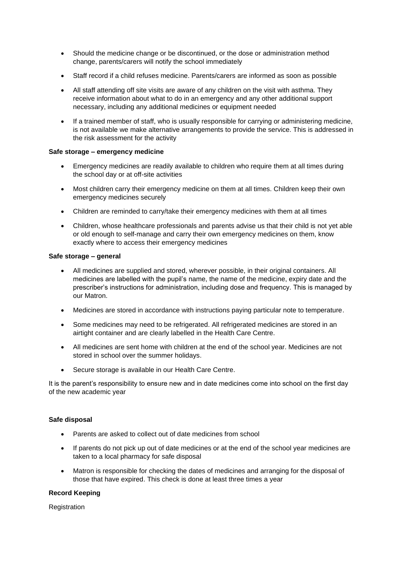- Should the medicine change or be discontinued, or the dose or administration method change, parents/carers will notify the school immediately
- Staff record if a child refuses medicine. Parents/carers are informed as soon as possible
- All staff attending off site visits are aware of any children on the visit with asthma. They receive information about what to do in an emergency and any other additional support necessary, including any additional medicines or equipment needed
- If a trained member of staff, who is usually responsible for carrying or administering medicine, is not available we make alternative arrangements to provide the service. This is addressed in the risk assessment for the activity

#### **Safe storage – emergency medicine**

- Emergency medicines are readily available to children who require them at all times during the school day or at off-site activities
- Most children carry their emergency medicine on them at all times. Children keep their own emergency medicines securely
- Children are reminded to carry/take their emergency medicines with them at all times
- Children, whose healthcare professionals and parents advise us that their child is not yet able or old enough to self-manage and carry their own emergency medicines on them, know exactly where to access their emergency medicines

#### **Safe storage – general**

- All medicines are supplied and stored, wherever possible, in their original containers. All medicines are labelled with the pupil's name, the name of the medicine, expiry date and the prescriber's instructions for administration, including dose and frequency. This is managed by our Matron.
- Medicines are stored in accordance with instructions paying particular note to temperature.
- Some medicines may need to be refrigerated. All refrigerated medicines are stored in an airtight container and are clearly labelled in the Health Care Centre.
- All medicines are sent home with children at the end of the school year. Medicines are not stored in school over the summer holidays.
- Secure storage is available in our Health Care Centre.

It is the parent's responsibility to ensure new and in date medicines come into school on the first day of the new academic year

#### **Safe disposal**

- Parents are asked to collect out of date medicines from school
- If parents do not pick up out of date medicines or at the end of the school year medicines are taken to a local pharmacy for safe disposal
- Matron is responsible for checking the dates of medicines and arranging for the disposal of those that have expired. This check is done at least three times a year

# **Record Keeping**

Registration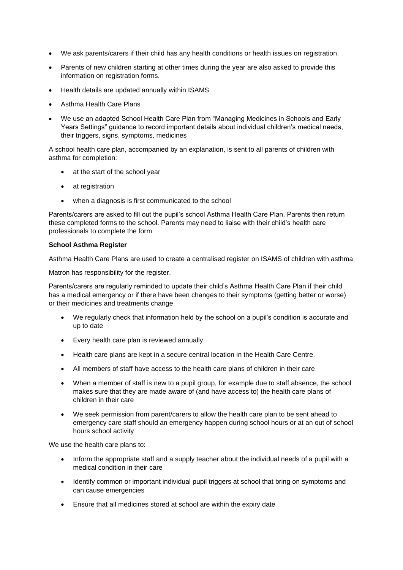- We ask parents/carers if their child has any health conditions or health issues on registration.
- Parents of new children starting at other times during the year are also asked to provide this information on registration forms.
- Health details are updated annually within ISAMS
- Asthma Health Care Plans
- We use an adapted School Health Care Plan from "Managing Medicines in Schools and Early Years Settings" guidance to record important details about individual children's medical needs, their triggers, signs, symptoms, medicines

A school health care plan, accompanied by an explanation, is sent to all parents of children with asthma for completion:

- at the start of the school year
- at registration
- when a diagnosis is first communicated to the school

Parents/carers are asked to fill out the pupil's school Asthma Health Care Plan. Parents then return these completed forms to the school. Parents may need to liaise with their child's health care professionals to complete the form

#### **School Asthma Register**

Asthma Health Care Plans are used to create a centralised register on ISAMS of children with asthma

Matron has responsibility for the register.

Parents/carers are regularly reminded to update their child's Asthma Health Care Plan if their child has a medical emergency or if there have been changes to their symptoms (getting better or worse) or their medicines and treatments change

- We regularly check that information held by the school on a pupil's condition is accurate and up to date
- Every health care plan is reviewed annually
- Health care plans are kept in a secure central location in the Health Care Centre.
- All members of staff have access to the health care plans of children in their care
- When a member of staff is new to a pupil group, for example due to staff absence, the school makes sure that they are made aware of (and have access to) the health care plans of children in their care
- We seek permission from parent/carers to allow the health care plan to be sent ahead to emergency care staff should an emergency happen during school hours or at an out of school hours school activity

We use the health care plans to:

- Inform the appropriate staff and a supply teacher about the individual needs of a pupil with a medical condition in their care
- Identify common or important individual pupil triggers at school that bring on symptoms and can cause emergencies
- Ensure that all medicines stored at school are within the expiry date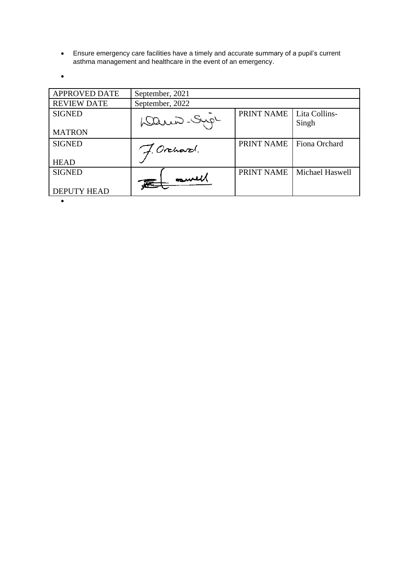• Ensure emergency care facilities have a timely and accurate summary of a pupil's current asthma management and healthcare in the event of an emergency.

•

| <b>APPROVED DATE</b> | September, 2021 |            |                        |
|----------------------|-----------------|------------|------------------------|
| <b>REVIEW DATE</b>   | September, 2022 |            |                        |
| <b>SIGNED</b>        | Danis-Sip       | PRINT NAME | Lita Collins-<br>Singh |
| <b>MATRON</b>        |                 |            |                        |
| <b>SIGNED</b>        | J. Orchard.     | PRINT NAME | Fiona Orchard          |
| <b>HEAD</b>          |                 |            |                        |
| <b>SIGNED</b>        | Et mull         | PRINT NAME | Michael Haswell        |
| <b>DEPUTY HEAD</b>   |                 |            |                        |
|                      |                 |            |                        |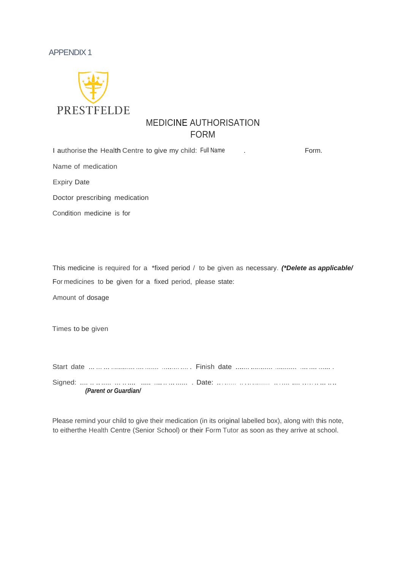# APPENDIX 1



# MEDICINE AUTHORISATION FORM

| I authorise the Health Centre to give my child: Full Name | Form. |
|-----------------------------------------------------------|-------|
| Name of medication                                        |       |
| <b>Expiry Date</b>                                        |       |
| Doctor prescribing medication                             |       |
| Condition medicine is for                                 |       |
|                                                           |       |
|                                                           |       |
|                                                           |       |

This medicine is required for a \*fixed period / to be given as necessary. *(\*Delete as applicable/* For medicines to be given for a fixed period, please state:

Amount of dosage

Times to be given

| (Parent or Guardian/ |  |
|----------------------|--|

Please remind your child to give their medication (in its original labelled box), along with this note, to eitherthe Health Centre (Senior School) or their Form Tutor as soon as they arrive at school.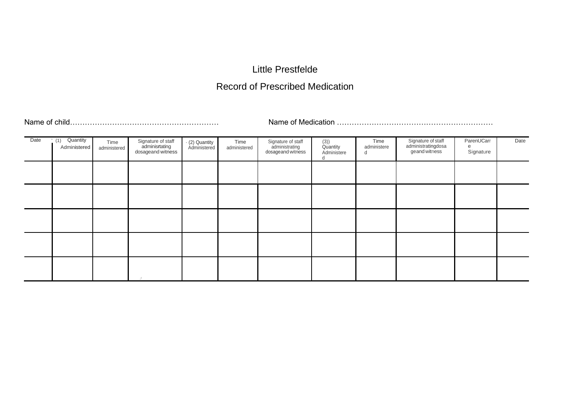# Little Prestfelde

# Record of Prescribed Medication

Name of child…………………………………………………… Name of Medication ………………………………………………………

| Date | Quantity<br>(1)<br>Administered | Time<br>administered | Signature of staff<br>adminisrtating<br>dosageand witness | · (2) Quantity<br>Administered | Time<br>administered | Signature of staff<br>administrating<br>dosageand witness | (3))<br>Quantity<br>Administere<br>a | Time<br>administere<br>d | Signature of staff<br>administratingdosa<br>geand witness | ParenUCarr<br>Signature | Date |
|------|---------------------------------|----------------------|-----------------------------------------------------------|--------------------------------|----------------------|-----------------------------------------------------------|--------------------------------------|--------------------------|-----------------------------------------------------------|-------------------------|------|
|      |                                 |                      |                                                           |                                |                      |                                                           |                                      |                          |                                                           |                         |      |
|      |                                 |                      |                                                           |                                |                      |                                                           |                                      |                          |                                                           |                         |      |
|      |                                 |                      |                                                           |                                |                      |                                                           |                                      |                          |                                                           |                         |      |
|      |                                 |                      |                                                           |                                |                      |                                                           |                                      |                          |                                                           |                         |      |
|      |                                 |                      |                                                           |                                |                      |                                                           |                                      |                          |                                                           |                         |      |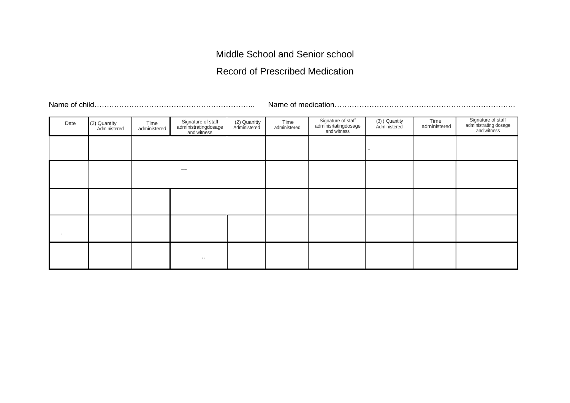Middle School and Senior school

Record of Prescribed Medication

Name of child……………………………………………………….. Name of medication……………………………………………………………….

| Date | (2) Quantity<br>Administered | Time<br>administered | Signature of staff<br>administratingdosage<br>and witness | (2) Quanitty<br>Administered | Time<br>administered | Signature of staff<br>adminisrtatingdosage<br>and witness | (3) ) Quantity<br>Administered | Time<br>administered | Signature of staff<br>administrating dosage<br>and witness |
|------|------------------------------|----------------------|-----------------------------------------------------------|------------------------------|----------------------|-----------------------------------------------------------|--------------------------------|----------------------|------------------------------------------------------------|
|      |                              |                      |                                                           |                              |                      |                                                           |                                |                      |                                                            |
|      |                              |                      | $\qquad \qquad -$                                         |                              |                      |                                                           |                                |                      |                                                            |
|      |                              |                      |                                                           |                              |                      |                                                           |                                |                      |                                                            |
|      |                              |                      |                                                           |                              |                      |                                                           |                                |                      |                                                            |
|      |                              |                      | $, ,$                                                     |                              |                      |                                                           |                                |                      |                                                            |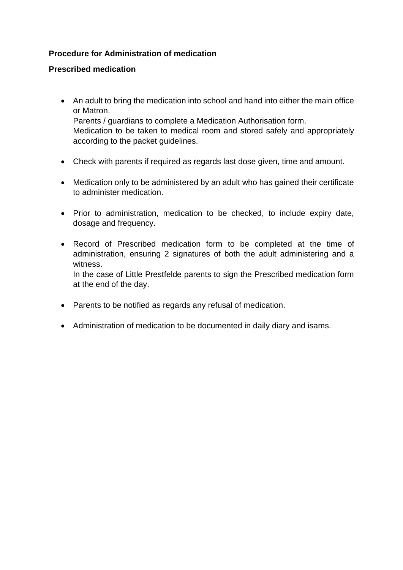# **Procedure for Administration of medication**

# **Prescribed medication**

- An adult to bring the medication into school and hand into either the main office or Matron. Parents / guardians to complete a Medication Authorisation form. Medication to be taken to medical room and stored safely and appropriately according to the packet guidelines.
- Check with parents if required as regards last dose given, time and amount.
- Medication only to be administered by an adult who has gained their certificate to administer medication.
- Prior to administration, medication to be checked, to include expiry date, dosage and frequency.
- Record of Prescribed medication form to be completed at the time of administration, ensuring 2 signatures of both the adult administering and a witness. In the case of Little Prestfelde parents to sign the Prescribed medication form at the end of the day.
- Parents to be notified as regards any refusal of medication.
- Administration of medication to be documented in daily diary and isams.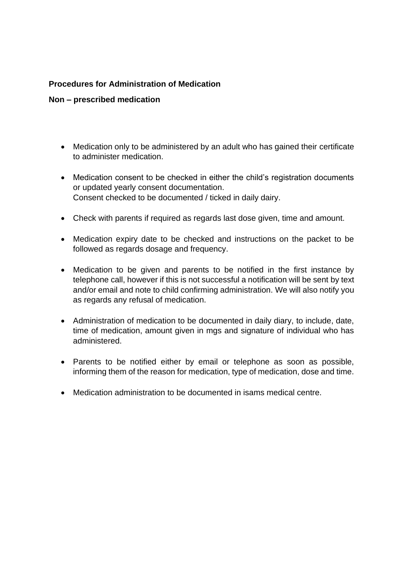# **Procedures for Administration of Medication**

# **Non – prescribed medication**

- Medication only to be administered by an adult who has gained their certificate to administer medication.
- Medication consent to be checked in either the child's registration documents or updated yearly consent documentation. Consent checked to be documented / ticked in daily dairy.
- Check with parents if required as regards last dose given, time and amount.
- Medication expiry date to be checked and instructions on the packet to be followed as regards dosage and frequency.
- Medication to be given and parents to be notified in the first instance by telephone call, however if this is not successful a notification will be sent by text and/or email and note to child confirming administration. We will also notify you as regards any refusal of medication.
- Administration of medication to be documented in daily diary, to include, date, time of medication, amount given in mgs and signature of individual who has administered.
- Parents to be notified either by email or telephone as soon as possible, informing them of the reason for medication, type of medication, dose and time.
- Medication administration to be documented in isams medical centre.